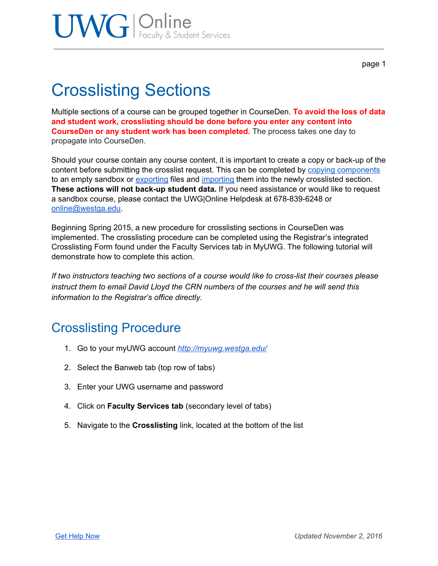page 1

## Crosslisting Sections

Multiple sections of a course can be grouped together in CourseDen. **To avoid the loss of data and student work, crosslisting should be done before you enter any content into CourseDen or any student work has been completed.** The process takes one day to propagate into CourseDen.

Should your course contain any course content, it is important to create a copy or back-up of the content before submitting the crosslist request. This can be completed by copying [components](https://docs.google.com/document/d/1aakGitfQbM1oOX_X5eWHQk9w7CI8EXviDqFOlThzEV0/edit?usp=sharing) to an empty sandbox or [exporting](https://docs.google.com/document/d/1KgUilm1PEWlfWX3yOiKWwTKqhPC9gSitKYHmy3NG79U/edit?usp=sharing) files and [importing](https://docs.google.com/document/d/1bX8vMF_KbiUhVIGBPeSIrA5C3JxBsgLEEDZgsWADkyw/edit?usp=sharing) them into the newly crosslisted section. **These actions will not back-up student data.** If you need assistance or would like to request a sandbox course, please contact the UWG|Online Helpdesk at 678-839-6248 or [online@westga.edu.](mailto:online@westga.edu)

Beginning Spring 2015, a new procedure for crosslisting sections in CourseDen was implemented. The crosslisting procedure can be completed using the Registrar's integrated Crosslisting Form found under the Faculty Services tab in MyUWG. The following tutorial will demonstrate how to complete this action.

*If two instructors teaching two sections of a course would like to cross-list their courses please instruct them to email David Lloyd the CRN numbers of the courses and he will send this information to the Registrar's office directly.*

### Crosslisting Procedure

- 1. Go to your myUWG account *<http://myuwg.westga.edu/>*
- 2. Select the Banweb tab (top row of tabs)
- 3. Enter your UWG username and password
- 4. Click on **Faculty Services tab** (secondary level of tabs)
- 5. Navigate to the **Crosslisting** link, located at the bottom of the list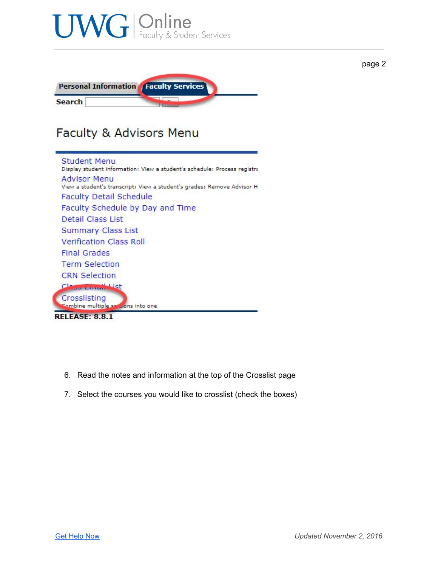

- 6. Read the notes and information at the top of the Crosslist page
- 7. Select the courses you would like to crosslist (check the boxes)

page 2

Class Emma List Crosslisting

**RELEASE: 8.8.1** 

Combine multiple sections into one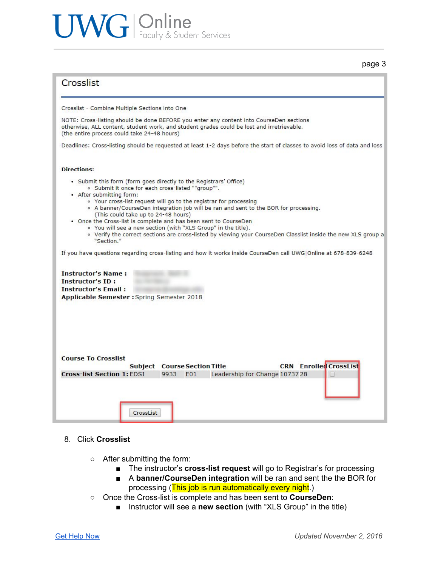# UWG | Online<br>
Faculty & Student Services

#### page 3

#### Crosslist

Crosslist - Combine Multiple Sections into One

NOTE: Cross-listing should be done BEFORE you enter any content into CourseDen sections otherwise, ALL content, student work, and student grades could be lost and irretrievable. (the entire process could take 24-48 hours)

Deadlines: Cross-listing should be requested at least 1-2 days before the start of classes to avoid loss of data and loss

#### **Directions:**

- Submit this form (form goes directly to the Registrars' Office) · Submit it once for each cross-listed ""group"".
- After submitting form:
	- Your cross-list request will go to the registrar for processing
	- A banner/CourseDen integration job will be ran and sent to the BOR for processing.
	- (This could take up to 24-48 hours)
- . Once the Cross-list is complete and has been sent to CourseDen
	- You will see a new section (with "XLS Group" in the title).
	- . Verify the correct sections are cross-listed by viewing your CourseDen Classlist inside the new XLS group a "Section."

and a  $13 - 63$  $\mathbf{r}$  $\sim$   $\sim$   $\sim$  $-1$   $\frac{1}{2}$   $\frac{1}{2}$   $\frac{1}{2}$   $\frac{1}{2}$   $\frac{1}{2}$   $\frac{1}{2}$   $\frac{1}{2}$   $\frac{1}{2}$   $\frac{1}{2}$   $\frac{1}{2}$   $\frac{1}{2}$   $\frac{1}{2}$   $\frac{1}{2}$   $\frac{1}{2}$   $\frac{1}{2}$   $\frac{1}{2}$   $\frac{1}{2}$   $\frac{1}{2}$   $\frac{1}{2}$   $\frac{1}{2}$   $\frac{1}{2}$   $\frac{1}{$  $-1570.020.0240$ 

| If you have questions regarding cross-listing and how it works inside CourseDen call UWG Online at 678-839-6248 |                                     |      |     |                                |  |                               |
|-----------------------------------------------------------------------------------------------------------------|-------------------------------------|------|-----|--------------------------------|--|-------------------------------|
| <b>Instructor's Name:</b>                                                                                       |                                     |      |     |                                |  |                               |
| <b>Instructor's ID:</b>                                                                                         |                                     |      |     |                                |  |                               |
| <b>Instructor's Email:</b>                                                                                      |                                     |      |     |                                |  |                               |
| Applicable Semester : Spring Semester 2018                                                                      |                                     |      |     |                                |  |                               |
|                                                                                                                 |                                     |      |     |                                |  |                               |
|                                                                                                                 |                                     |      |     |                                |  |                               |
|                                                                                                                 |                                     |      |     |                                |  |                               |
|                                                                                                                 |                                     |      |     |                                |  |                               |
|                                                                                                                 |                                     |      |     |                                |  |                               |
|                                                                                                                 |                                     |      |     |                                |  |                               |
|                                                                                                                 |                                     |      |     |                                |  |                               |
| <b>Course To Crosslist</b>                                                                                      |                                     |      |     |                                |  |                               |
|                                                                                                                 | <b>Subject Course Section Title</b> |      |     |                                |  | <b>CRN</b> Enrolled CrossList |
| <b>Cross-list Section 1: EDSI</b>                                                                               |                                     | 9933 | E01 | Leadership for Change 10737 28 |  |                               |
|                                                                                                                 |                                     |      |     |                                |  |                               |
|                                                                                                                 |                                     |      |     |                                |  |                               |
|                                                                                                                 |                                     |      |     |                                |  |                               |
|                                                                                                                 |                                     |      |     |                                |  |                               |
|                                                                                                                 | CrossList                           |      |     |                                |  |                               |
|                                                                                                                 |                                     |      |     |                                |  |                               |

#### 8. Click **Crosslist**

- After submitting the form:
	- The instructor's **cross-list request** will go to Registrar's for processing
	- A **banner/CourseDen integration** will be ran and sent the the BOR for processing (This job is run automatically every night.)
- Once the Cross-list is complete and has been sent to **CourseDen**:
	- Instructor will see a **new section** (with "XLS Group" in the title)